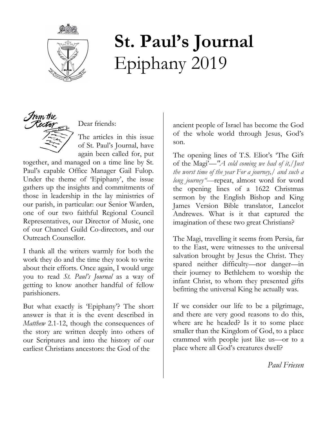

# **St. Paul's Journal** Epiphany 2019



Dear friends:

The articles in this issue of St. Paul's Journal, have again been called for, put

together, and managed on a time line by St. Paul's capable Office Manager Gail Fulop. Under the theme of 'Epiphany', the issue gathers up the insights and commitments of those in leadership in the lay ministries of our parish, in particular: our Senior Warden, one of our two faithful Regional Council Representatives, our Director of Music, one of our Chancel Guild Co-directors, and our Outreach Counsellor.

I thank all the writers warmly for both the work they do and the time they took to write about their efforts. Once again, I would urge you to read *St. Paul's Journal* as a way of getting to know another handful of fellow parishioners.

But what exactly is 'Epiphany'? The short answer is that it is the event described in *Matthew* 2.1-12, though the consequences of the story are written deeply into others of our Scriptures and into the history of our earliest Christians ancestors: the God of the

ancient people of Israel has become the God of the whole world through Jesus, God's son.

The opening lines of T.S. Eliot's 'The Gift of the Magi'—*"A cold coming we had of it,/Just the worst time of the year For a journey,/ and such a long journey"—*repeat, almost word for word the opening lines of a 1622 Christmas sermon by the English Bishop and King James Version Bible translator, Lancelot Andrewes. What is it that captured the imagination of these two great Christians?

The Magi, travelling it seems from Persia, far to the East, were witnesses to the universal salvation brought by Jesus the Christ. They spared neither difficulty—nor danger—in their journey to Bethlehem to worship the infant Christ, to whom they presented gifts befitting the universal King he actually was.

If we consider our life to be a pilgrimage, and there are very good reasons to do this, where are he headed? Is it to some place smaller than the Kingdom of God, to a place crammed with people just like us—or to a place where all God's creatures dwell?

*Paul Friesen*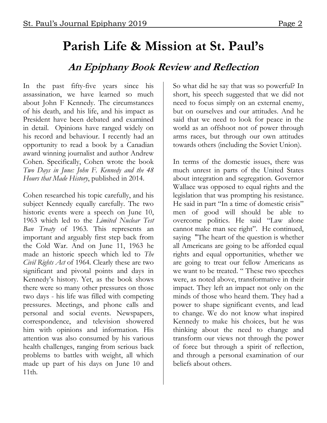# **Parish Life & Mission at St. Paul's**

## **An Epiphany Book Review and Reflection**

In the past fifty-five years since his assassination, we have learned so much about John F Kennedy. The circumstances of his death, and his life, and his impact as President have been debated and examined in detail. Opinions have ranged widely on his record and behaviour. I recently had an opportunity to read a book by a Canadian award winning journalist and author Andrew Cohen. Specifically, Cohen wrote the book *Two Days in June: John F. Kennedy and the 48 Hours that Made History*, published in 2014.

Cohen researched his topic carefully, and his subject Kennedy equally carefully. The two historic events were a speech on June 10, 1963 which led to the *Limited Nuclear Test Ban Treaty* of 1963*.* This represents an important and arguably first step back from the Cold War. And on June 11, 1963 he made an historic speech which led to *The Civil Rights Act* of 1964. Clearly these are two significant and pivotal points and days in Kennedy's history. Yet, as the book shows there were so many other pressures on those two days - his life was filled with competing pressures. Meetings, and phone calls and personal and social events. Newspapers, correspondence, and television showered him with opinions and information. His attention was also consumed by his various health challenges, ranging from serious back problems to battles with weight, all which made up part of his days on June 10 and 11th.

So what did he say that was so powerful? In short, his speech suggested that we did not need to focus simply on an external enemy, but on ourselves and our attitudes. And he said that we need to look for peace in the world as an offshoot not of power through arms races, but through our own attitudes towards others (including the Soviet Union).

In terms of the domestic issues, there was much unrest in parts of the United States about integration and segregation. Governor Wallace was opposed to equal rights and the legislation that was prompting his resistance. He said in part "In a time of domestic crisis" men of good will should be able to overcome politics. He said "Law alone cannot make man see right". He continued, saying "The heart of the question is whether all Americans are going to be afforded equal rights and equal opportunities, whether we are going to treat our fellow Americans as we want to be treated. " These two speeches were, as noted above, transformative in their impact. They left an impact not only on the minds of those who heard them. They had a power to shape significant events, and lead to change. We do not know what inspired Kennedy to make his choices, but he was thinking about the need to change and transform our views not through the power of force but through a spirit of reflection, and through a personal examination of our beliefs about others.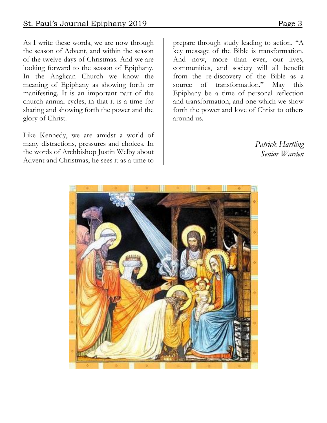As I write these words, we are now through the season of Advent, and within the season of the twelve days of Christmas. And we are looking forward to the season of Epiphany. In the Anglican Church we know the meaning of Epiphany as showing forth or manifesting. It is an important part of the church annual cycles, in that it is a time for sharing and showing forth the power and the glory of Christ.

Like Kennedy, we are amidst a world of many distractions, pressures and choices. In the words of Archbishop Justin Welby about Advent and Christmas, he sees it as a time to

prepare through study leading to action, "A key message of the Bible is transformation. And now, more than ever, our lives, communities, and society will all benefit from the re-discovery of the Bible as a source of transformation." May this Epiphany be a time of personal reflection and transformation, and one which we show forth the power and love of Christ to others around us.

> *Patrick Hartling Senior Warden*

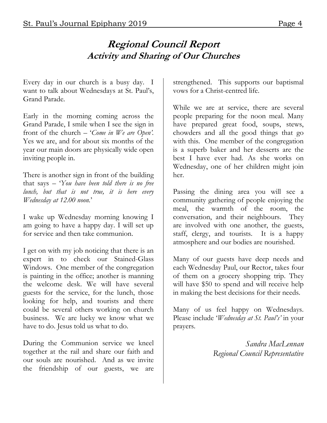## **Regional Council Report Activity and Sharing of Our Churches**

Every day in our church is a busy day. I want to talk about Wednesdays at St. Paul's, Grand Parade.

Early in the morning coming across the Grand Parade, I smile when I see the sign in front of the church – '*Come in We are Open'.*  Yes we are, and for about six months of the year our main doors are physically wide open inviting people in.

There is another sign in front of the building that says – '*You have been told there is no free lunch, but that is not true, it is here every Wednesday at 12.00 noon.*'

I wake up Wednesday morning knowing I am going to have a happy day. I will set up for service and then take communion.

I get on with my job noticing that there is an expert in to check our Stained-Glass Windows. One member of the congregation is painting in the office; another is manning the welcome desk. We will have several guests for the service, for the lunch, those looking for help, and tourists and there could be several others working on church business. We are lucky we know what we have to do. Jesus told us what to do.

During the Communion service we kneel together at the rail and share our faith and our souls are nourished. And as we invite the friendship of our guests, we are strengthened. This supports our baptismal vows for a Christ-centred life.

While we are at service, there are several people preparing for the noon meal. Many have prepared great food, soups, stews, chowders and all the good things that go with this. One member of the congregation is a superb baker and her desserts are the best I have ever had. As she works on Wednesday, one of her children might join her.

Passing the dining area you will see a community gathering of people enjoying the meal, the warmth of the room, the conversation, and their neighbours. They are involved with one another, the guests, staff, clergy, and tourists. It is a happy atmosphere and our bodies are nourished.

Many of our guests have deep needs and each Wednesday Paul, our Rector, takes four of them on a grocery shopping trip. They will have \$50 to spend and will receive help in making the best decisions for their needs.

Many of us feel happy on Wednesdays. Please include '*Wednesday at St. Paul's'* in your prayers.

> *Sandra MacLennan Regional Council Representative*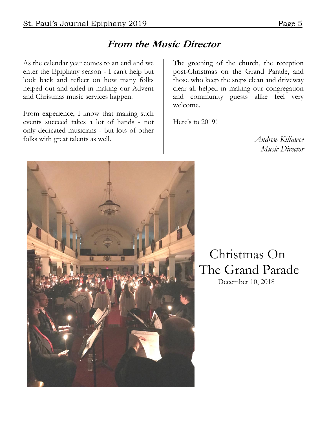# **From the Music Director**

As the calendar year comes to an end and we enter the Epiphany season - I can't help but look back and reflect on how many folks helped out and aided in making our Advent and Christmas music services happen.

From experience, I know that making such events succeed takes a lot of hands - not only dedicated musicians - but lots of other folks with great talents as well.

The greening of the church, the reception post-Christmas on the Grand Parade, and those who keep the steps clean and driveway clear all helped in making our congregation and community guests alike feel very welcome.

Here's to 2019!

*Andrew Killawee Music Director*



 Christmas On The Grand Parade December 10, 2018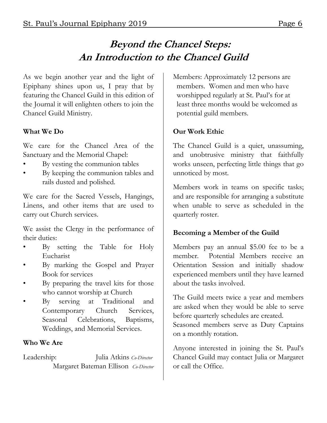# **Beyond the Chancel Steps: An Introduction to the Chancel Guild**

As we begin another year and the light of Epiphany shines upon us, I pray that by featuring the Chancel Guild in this edition of the Journal it will enlighten others to join the Chancel Guild Ministry.

#### **What We Do**

We care for the Chancel Area of the Sanctuary and the Memorial Chapel:

- By vesting the communion tables
- By keeping the communion tables and rails dusted and polished.

We care for the Sacred Vessels, Hangings, Linens, and other items that are used to carry out Church services.

We assist the Clergy in the performance of their duties:

- By setting the Table for Holy Eucharist
- By marking the Gospel and Prayer Book for services
- By preparing the travel kits for those who cannot worship at Church
- By serving at Traditional and Contemporary Church Services, Seasonal Celebrations, Baptisms, Weddings, and Memorial Services.

#### **Who We Are**

Leadership: Julia Atkins *Co-Director* Margaret Bateman Ellison *Co-Director* Members: Approximately 12 persons are members. Women and men who have worshipped regularly at St. Paul's for at least three months would be welcomed as potential guild members.

#### **Our Work Ethic**

The Chancel Guild is a quiet, unassuming, and unobtrusive ministry that faithfully works unseen, perfecting little things that go unnoticed by most.

Members work in teams on specific tasks; and are responsible for arranging a substitute when unable to serve as scheduled in the quarterly roster.

#### **Becoming a Member of the Guild**

Members pay an annual \$5.00 fee to be a member. Potential Members receive an Orientation Session and initially shadow experienced members until they have learned about the tasks involved.

The Guild meets twice a year and members are asked when they would be able to serve before quarterly schedules are created. Seasoned members serve as Duty Captains on a monthly rotation.

Anyone interested in joining the St. Paul's Chancel Guild may contact Julia or Margaret or call the Office.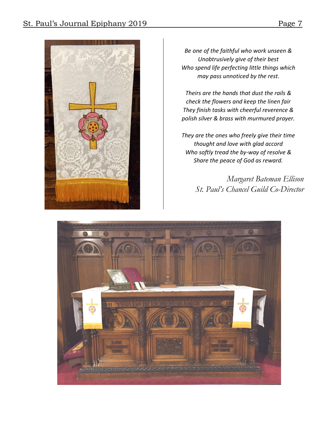

*Be one of the faithful who work unseen & Unobtrusively give of their best Who spend life perfecting little things which may pass unnoticed by the rest.*

*Theirs are the hands that dust the rails & check the flowers and keep the linen fair They finish tasks with cheerful reverence & polish silver & brass with murmured prayer.*

*They are the ones who freely give their time thought and love with glad accord Who softly tread the by-way of resolve & Share the peace of God as reward.*

> *Margaret Bateman Ellison St. Paul's Chancel Guild Co-Director*

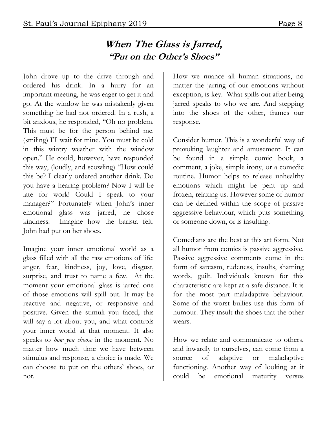## **When The Glass is Jarred, "Put on the Other's Shoes"**

John drove up to the drive through and ordered his drink. In a hurry for an important meeting, he was eager to get it and go. At the window he was mistakenly given something he had not ordered. In a rush, a bit anxious, he responded, "Oh no problem. This must be for the person behind me. (smiling) I'll wait for mine. You must be cold in this wintry weather with the window open." He could, however, have responded this way, (loudly, and scowling) "How could this be? I clearly ordered another drink. Do you have a hearing problem? Now I will be late for work! Could I speak to your manager?" Fortunately when John's inner emotional glass was jarred, he chose kindness. Imagine how the barista felt. John had put on her shoes.

Imagine your inner emotional world as a glass filled with all the raw emotions of life: anger, fear, kindness, joy, love, disgust, surprise, and trust to name a few. At the moment your emotional glass is jarred one of those emotions will spill out. It may be reactive and negative, or responsive and positive. Given the stimuli you faced, this will say a lot about you, and what controls your inner world at that moment. It also speaks to *how you choose* in the moment. No matter how much time we have between stimulus and response, a choice is made. We can choose to put on the others' shoes, or not.

How we nuance all human situations, no matter the jarring of our emotions without exception, is key. What spills out after being jarred speaks to who we are. And stepping into the shoes of the other, frames our response.

Consider humor. This is a wonderful way of provoking laughter and amusement. It can be found in a simple comic book, a comment, a joke, simple irony, or a comedic routine. Humor helps to release unhealthy emotions which might be pent up and frozen, relaxing us. However some of humor can be defined within the scope of passive aggressive behaviour, which puts something or someone down, or is insulting.

Comedians are the best at this art form. Not all humor from comics is passive aggressive. Passive aggressive comments come in the form of sarcasm, rudeness, insults, shaming words, guilt. Individuals known for this characteristic are kept at a safe distance. It is for the most part maladaptive behaviour. Some of the worst bullies use this form of humour. They insult the shoes that the other wears.

How we relate and communicate to others, and inwardly to ourselves, can come from a source of adaptive or maladaptive functioning. Another way of looking at it could be emotional maturity versus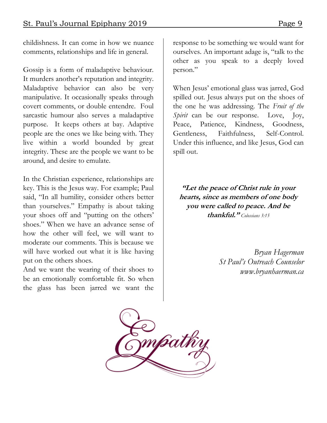childishness. It can come in how we nuance comments, relationships and life in general.

Gossip is a form of maladaptive behaviour. It murders another's reputation and integrity. Maladaptive behavior can also be very manipulative. It occasionally speaks through covert comments, or double entendre. Foul sarcastic humour also serves a maladaptive purpose. It keeps others at bay. Adaptive people are the ones we like being with. They live within a world bounded by great integrity. These are the people we want to be around, and desire to emulate.

In the Christian experience, relationships are key. This is the Jesus way. For example; Paul said, "In all humility, consider others better than yourselves." Empathy is about taking your shoes off and "putting on the others' shoes." When we have an advance sense of how the other will feel, we will want to moderate our comments. This is because we will have worked out what it is like having put on the others shoes.

And we want the wearing of their shoes to be an emotionally comfortable fit. So when the glass has been jarred we want the response to be something we would want for ourselves. An important adage is, "talk to the other as you speak to a deeply loved person."

When Jesus' emotional glass was jarred, God spilled out. Jesus always put on the shoes of the one he was addressing. The *Fruit of the Spirit* can be our response. Love, Joy, Peace, Patience, Kindness, Goodness, Gentleness, Faithfulness, Self-Control. Under this influence, and like Jesus, God can spill out.

**"Let the peace of Christ rule in your hearts, since as members of one body you were called to peace. And be thankful."** *Colossians 3:15*

> *Bryan Hagerman St Paul's Outreach Counselor www.bryanhaerman.ca*

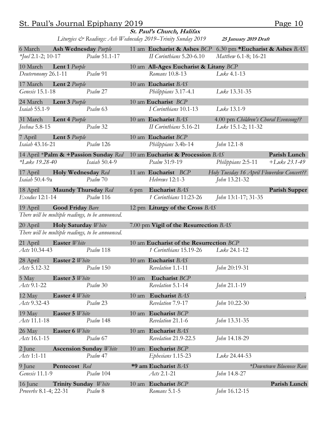#### St. Paul's Journal Epiphany 2019 Page 10

| St. Paul's Church, Halifax<br>Liturgies & Readings: Ash Wednesday 2019–Trinity Sunday 2019<br>25 January 2019 Draft |                             |                                                   |                 |                                              |                                                            |                        |
|---------------------------------------------------------------------------------------------------------------------|-----------------------------|---------------------------------------------------|-----------------|----------------------------------------------|------------------------------------------------------------|------------------------|
| 6 March                                                                                                             | <b>Ash Wednesday</b> Purple |                                                   |                 | 11 am Eucharist & Ashes BCP                  | 6.30 pm *Eucharist & Ashes $BAS$                           |                        |
| *Joel 2.1-2; 10-17                                                                                                  |                             | Psalm 51.1-17                                     |                 | II Corinthians 5.20-6.10                     | Matthew 6.1-8; 16-21                                       |                        |
| 10 March                                                                                                            | Lent 1 Purple               |                                                   |                 | 10 am All-Ages Eucharist & Litany BCP        |                                                            |                        |
| Deuteronomy 26.1-11                                                                                                 |                             | Psalm 91                                          |                 | Romans 10.8-13                               | Luke 4.1-13                                                |                        |
| 17 March<br>Genesis 15.1-18                                                                                         | <b>Lent 2</b> Purple        | Psalm 27                                          |                 | 10 am Eucharist BAS                          |                                                            |                        |
|                                                                                                                     |                             |                                                   |                 | Philippians 3.17-4.1                         | Luke 13.31-35                                              |                        |
| 24 March<br>Isaiah 55.1-9                                                                                           | <b>Lent 3</b> Purple        | Psalm 63                                          |                 | 10 am Eucharist BCP<br>I Corinthians 10.1-13 | Luke 13.1-9                                                |                        |
| 31 March                                                                                                            |                             |                                                   |                 | 10 am Eucharist BAS                          |                                                            |                        |
| Joshua 5.8-15                                                                                                       | <b>Lent 4</b> <i>Purple</i> | Psalm 32                                          |                 | II Corinthians 5.16-21                       | 4.00 pm Children's Choral Evensong??<br>Luke 15.1-2; 11-32 |                        |
| 7 April                                                                                                             | Lent 5 Purple               |                                                   |                 | 10 am Eucharist BCP                          |                                                            |                        |
| Isaiah 43.16-21                                                                                                     |                             | Psalm 126                                         |                 | Philippians 3.4b-14                          | John 12.1-8                                                |                        |
|                                                                                                                     |                             | 14 April *Palm & +Passion Sunday Red              |                 | 10 am Eucharist & Procession BAS             |                                                            | Parish Lunch           |
| *Luke 19.28-40                                                                                                      |                             | Isaiah 50.4-9                                     |                 | Psalm 31:9-19                                | Philippians 2:5-11                                         | $+$ Luke 23.1-49       |
| 17 April                                                                                                            | <b>Holy Wednesday</b> Red   |                                                   |                 | 11 am Eucharist BCP                          | Holy Tuesday 16 April Flowerdew Concert??                  |                        |
| Isaiah 50.4-9a                                                                                                      |                             | Psalm 70                                          |                 | Hebrews 12:1-3                               | John 13.21-32                                              |                        |
| 18 April                                                                                                            | <b>Maundy Thursday</b> Red  |                                                   | $6 \text{ pm}$  | Eucharist BAS                                |                                                            | <b>Parish Supper</b>   |
| Exodus 12:1-14                                                                                                      |                             | Psalm 116                                         |                 | 1 Corinthians 11:23-26                       | John 13:1-17; 31-35                                        |                        |
| 19 April                                                                                                            | <b>Good Friday Bare</b>     | There will be multiple readings, to be announced. |                 | 12 pm Liturgy of the Cross BAS               |                                                            |                        |
| 20 April                                                                                                            | <b>Holy Saturday</b> White  |                                                   |                 | 7.00 pm Vigil of the Resurrection BAS        |                                                            |                        |
| There will be multiple readings, to be announced.                                                                   |                             |                                                   |                 |                                              |                                                            |                        |
| 21 April                                                                                                            | <b>Easter</b> White         |                                                   |                 | 10 am Eucharist of the Resurrection BCP      |                                                            |                        |
| Acts 10.34-43                                                                                                       |                             | Psalm 118                                         |                 | 1 Corinthians 15.19-26                       | Luke 24.1-12                                               |                        |
| 28 April                                                                                                            | <b>Easter 2 White</b>       |                                                   |                 | 10 am Eucharist BAS                          |                                                            |                        |
| Acts 5.12-32                                                                                                        |                             | <i>Psalm</i> 150                                  |                 | Revelation 1.1-11                            | John 20:19-31                                              |                        |
| 5 May                                                                                                               | <b>Easter 3 White</b>       | Psalm 30                                          | $10 \text{ am}$ | Eucharist BCP                                |                                                            |                        |
| Acts 9.1-22                                                                                                         |                             |                                                   |                 | Revelation 5.1-14                            | John 21.1-19                                               |                        |
| 12 May<br>Acts 9.32-43                                                                                              | <b>Easter 4 White</b>       | Psalm 23                                          | $10 \text{ am}$ | Eucharist BAS<br>Revelation 7.9-17           | John 10.22-30                                              |                        |
|                                                                                                                     |                             |                                                   |                 |                                              |                                                            |                        |
| 19 May<br>Acts 11.1-18                                                                                              | <b>Easter 5 White</b>       | Psalm 148                                         |                 | 10 am Eucharist BCP<br>Revelation 21.1-6     | John 13.31-35                                              |                        |
| 26 May                                                                                                              | <b>Easter 6 White</b>       |                                                   |                 | 10 am Eucharist BAS                          |                                                            |                        |
| Acts 16.1-15                                                                                                        |                             | Psalm 67                                          |                 | Revelation 21.9-22.5                         | John 14.18-29                                              |                        |
| 2 June                                                                                                              |                             | <b>Ascension Sunday White</b>                     |                 | 10 am Eucharist BCP                          |                                                            |                        |
| $\mathcal{A}$ cts 1:1-11                                                                                            |                             | Psalm 47                                          |                 | Ephesians 1.15-23                            | Luke 24.44-53                                              |                        |
| 9 June                                                                                                              | Pentecost Red               |                                                   |                 | *9 am Eucharist BAS                          |                                                            | *Downtown Bluenose Run |
| Genesis 11.1-9                                                                                                      |                             | Psalm 104                                         |                 | Acts 2.1-21                                  | <i>John</i> 14.8-27                                        |                        |
| 16 June                                                                                                             | Trinity Sunday White        |                                                   |                 | 10 am Eucharist BCP                          |                                                            | Parish Lunch           |
| Proverbs 8.1-4; 22-31                                                                                               |                             | Psalm 8                                           |                 | Romans 5.1-5                                 | John 16.12-15                                              |                        |